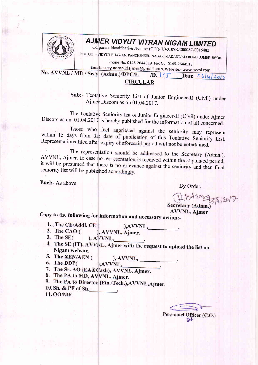

## AJMER VIDYUT VITRAN NIGAM LIMITED

Corporate Identification Number (CIN)- U40109RJ2000SGC016482

Resg. Off. :- VIDYUT BHAWAN, PANCHSHEEL NAGAR, MAKADWALI ROAD, AJMER-305004

Phone No. 0145-2644519 Fax No. 0145-2644518

Email:- secy.admn11ajmer@gmail.com, Website:- www.avvnl.com No. AVVNL / MD / Secy. (Admn.)/DPC/F.

 $\sqrt{D}$ .  $\left| \int_{0}^{\pi} D \text{ at } \frac{\partial (f(x))}{\partial (x)} dx \right|$ 

## CIRCULAR

Sub:- Tentative Seniority List of Junior Engineer-Il (Civil) under Ajmer Discom as on 01.04.2017.

The Tentative Seniority list of Junior Engineer-II (Civil) under Ajmer<br>Discom as on 01.04.2017 is hereby published for the information of all concerned.<br>Those who feel aggrieved against the seniority may represent

within 15 days from the date of publication of this Tentative Seniority List. Representations filed after expiry of aforesaid period will not be entertained.

The representation should be addressed to the Secretary (Admn.), AVVNL, Ajmer. In case no representation is received within the stipulated period, it will be presumed that there is no grievance against the seniority and th

Encl:- As above

By Order,

 $172666/2017$ 

Secretary (Admn.)<br>AVVNL, Aimer

Copy to the following for information and necessary action:-

- 1. The CE/Addl. CE (  $AVVNL$
- 2. The CAO  $($ ), AVVNL, Ajmer.
- 3. The  $SE($ ), AVVNL,
- 4. The SE (IT), AVVNL, Ajmer with the request to upload the list on Nigam website.<br>5. The XEN/AEN ( ) AVVNT
- $AVVNL$
- 6. The DDP( ), AVVNL,
- 7. The Sr. AO (EA&Cash), AVVNL, Ajmer.<br>8. The PA to MD, AVVNL, Ajmer.
- 
- 9. The PA to Director (Fin./Tech.), AVVNL, Ajmer.
- 10. Sh. & PF of Sh.

11.00/MF.

Personnel Officer (C.O.)